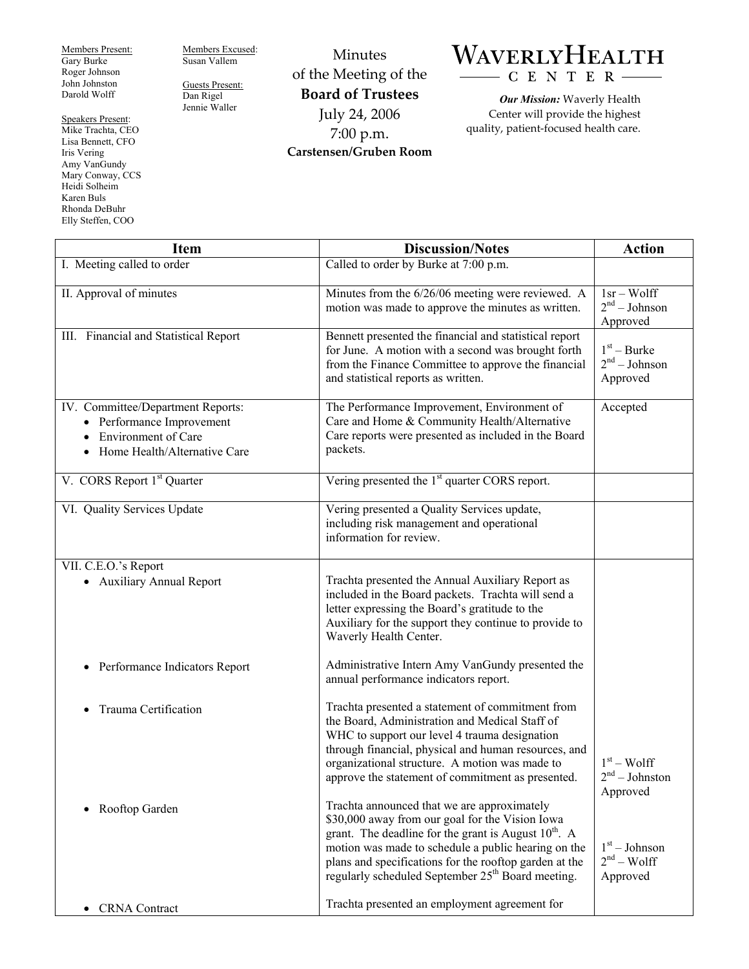Members Present: Gary Burke Roger Johnson John Johnston Darold Wolff

Speakers Present: Mike Trachta, CEO Lisa Bennett, CFO Iris Vering Amy VanGundy Mary Conway, CCS Heidi Solheim Karen Buls Rhonda DeBuhr Elly Steffen, COO

Members Excused: Susan Vallem

Guests Present: Dan Rigel Jennie Waller

Minutes of the Meeting of the **Board of Trustees**  July 24, 2006 7:00 p.m. **Carstensen/Gruben Room** 

## WAVERLYHEALTH  $\begin{array}{c}\n\hline\n\end{array}$  C E N T E R

*Our Mission:* Waverly Health Center will provide the highest quality, patient-focused health care.

| <b>Item</b>                                                                                                                  | <b>Discussion/Notes</b>                                                                                                                                                                                                                                                                                                                       | <b>Action</b>                                          |
|------------------------------------------------------------------------------------------------------------------------------|-----------------------------------------------------------------------------------------------------------------------------------------------------------------------------------------------------------------------------------------------------------------------------------------------------------------------------------------------|--------------------------------------------------------|
| I. Meeting called to order                                                                                                   | Called to order by Burke at 7:00 p.m.                                                                                                                                                                                                                                                                                                         |                                                        |
| II. Approval of minutes                                                                                                      | Minutes from the 6/26/06 meeting were reviewed. A<br>motion was made to approve the minutes as written.                                                                                                                                                                                                                                       | $1sr - Wolf$<br>2 <sup>nd</sup> – Johnson<br>Approved  |
| III. Financial and Statistical Report                                                                                        | Bennett presented the financial and statistical report<br>for June. A motion with a second was brought forth<br>from the Finance Committee to approve the financial<br>and statistical reports as written.                                                                                                                                    | $1st - Burke$<br>2 <sup>nd</sup> – Johnson<br>Approved |
| IV. Committee/Department Reports:<br>• Performance Improvement<br><b>Environment of Care</b><br>Home Health/Alternative Care | The Performance Improvement, Environment of<br>Care and Home & Community Health/Alternative<br>Care reports were presented as included in the Board<br>packets.                                                                                                                                                                               | Accepted                                               |
| V. CORS Report 1 <sup>st</sup> Quarter                                                                                       | Vering presented the 1 <sup>st</sup> quarter CORS report.                                                                                                                                                                                                                                                                                     |                                                        |
| VI. Quality Services Update                                                                                                  | Vering presented a Quality Services update,<br>including risk management and operational<br>information for review.                                                                                                                                                                                                                           |                                                        |
| VII. C.E.O.'s Report<br>• Auxiliary Annual Report                                                                            | Trachta presented the Annual Auxiliary Report as<br>included in the Board packets. Trachta will send a<br>letter expressing the Board's gratitude to the<br>Auxiliary for the support they continue to provide to<br>Waverly Health Center.                                                                                                   |                                                        |
| Performance Indicators Report<br>$\bullet$                                                                                   | Administrative Intern Amy VanGundy presented the<br>annual performance indicators report.                                                                                                                                                                                                                                                     |                                                        |
| Trauma Certification                                                                                                         | Trachta presented a statement of commitment from<br>the Board, Administration and Medical Staff of<br>WHC to support our level 4 trauma designation<br>through financial, physical and human resources, and<br>organizational structure. A motion was made to<br>approve the statement of commitment as presented.                            | $1st - Wolf$<br>$2nd - Johnston$<br>Approved           |
| Rooftop Garden                                                                                                               | Trachta announced that we are approximately<br>\$30,000 away from our goal for the Vision Iowa<br>grant. The deadline for the grant is August $10^{th}$ . A<br>motion was made to schedule a public hearing on the<br>plans and specifications for the rooftop garden at the<br>regularly scheduled September 25 <sup>th</sup> Board meeting. | $1st - Johnson$<br>$2nd - Wolf$<br>Approved            |
| <b>CRNA</b> Contract                                                                                                         | Trachta presented an employment agreement for                                                                                                                                                                                                                                                                                                 |                                                        |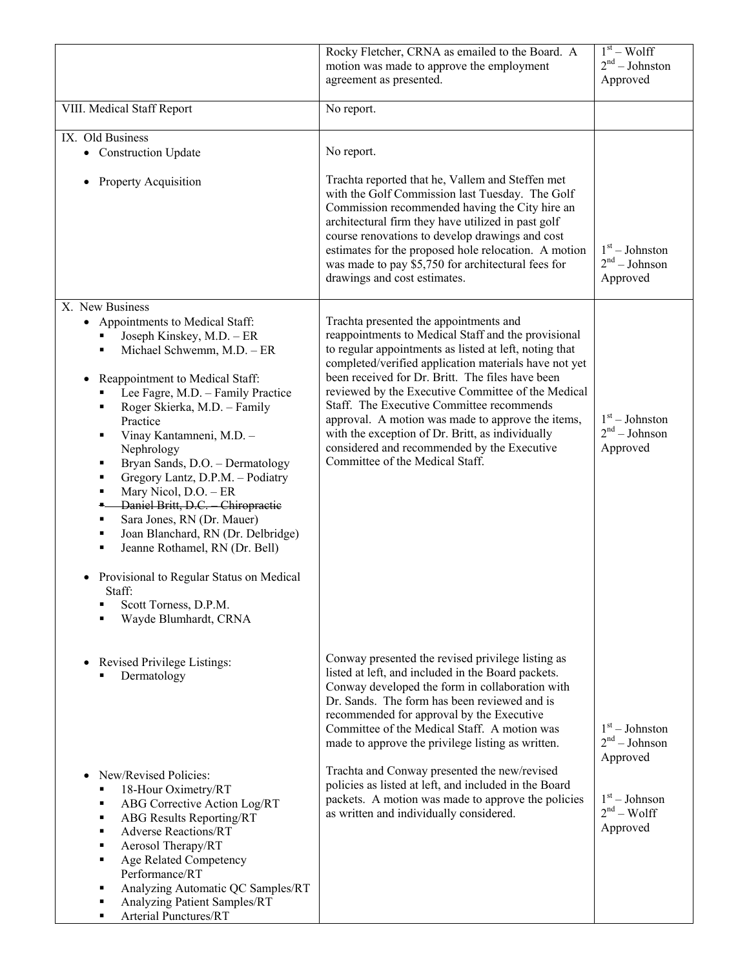|                                                                                                                                                                                                                                                                                                                                                                                                                                                                                                                                                                                                                                                                                                                     | Rocky Fletcher, CRNA as emailed to the Board. A<br>motion was made to approve the employment                                                                                                                                                                                                                                                                                                                                                                                                                                                                       | $1st - Wolf$<br>$2nd - Johnson$                 |
|---------------------------------------------------------------------------------------------------------------------------------------------------------------------------------------------------------------------------------------------------------------------------------------------------------------------------------------------------------------------------------------------------------------------------------------------------------------------------------------------------------------------------------------------------------------------------------------------------------------------------------------------------------------------------------------------------------------------|--------------------------------------------------------------------------------------------------------------------------------------------------------------------------------------------------------------------------------------------------------------------------------------------------------------------------------------------------------------------------------------------------------------------------------------------------------------------------------------------------------------------------------------------------------------------|-------------------------------------------------|
|                                                                                                                                                                                                                                                                                                                                                                                                                                                                                                                                                                                                                                                                                                                     | agreement as presented.                                                                                                                                                                                                                                                                                                                                                                                                                                                                                                                                            | Approved                                        |
| VIII. Medical Staff Report                                                                                                                                                                                                                                                                                                                                                                                                                                                                                                                                                                                                                                                                                          | No report.                                                                                                                                                                                                                                                                                                                                                                                                                                                                                                                                                         |                                                 |
| IX. Old Business<br>• Construction Update                                                                                                                                                                                                                                                                                                                                                                                                                                                                                                                                                                                                                                                                           | No report.                                                                                                                                                                                                                                                                                                                                                                                                                                                                                                                                                         |                                                 |
| <b>Property Acquisition</b><br>$\bullet$                                                                                                                                                                                                                                                                                                                                                                                                                                                                                                                                                                                                                                                                            | Trachta reported that he, Vallem and Steffen met<br>with the Golf Commission last Tuesday. The Golf<br>Commission recommended having the City hire an<br>architectural firm they have utilized in past golf<br>course renovations to develop drawings and cost<br>estimates for the proposed hole relocation. A motion<br>was made to pay \$5,750 for architectural fees for<br>drawings and cost estimates.                                                                                                                                                       | $1st - Johnston$<br>$2nd - Johnson$<br>Approved |
| X. New Business<br>• Appointments to Medical Staff:<br>Joseph Kinskey, M.D. - ER<br>Michael Schwemm, M.D. - ER<br>٠<br>Reappointment to Medical Staff:<br>$\bullet$<br>Lee Fagre, M.D. - Family Practice<br>Roger Skierka, M.D. - Family<br>٠<br>Practice<br>Vinay Kantamneni, M.D. -<br>٠<br>Nephrology<br>Bryan Sands, D.O. - Dermatology<br>٠<br>Gregory Lantz, D.P.M. - Podiatry<br>٠<br>Mary Nicol, D.O. - ER<br>٠<br>Daniel Britt, D.C. Chiropractic<br>$\bullet$ .<br>Sara Jones, RN (Dr. Mauer)<br>٠<br>Joan Blanchard, RN (Dr. Delbridge)<br>٠<br>Jeanne Rothamel, RN (Dr. Bell)<br>٠<br>Provisional to Regular Status on Medical<br>$\bullet$<br>Staff:<br>Scott Torness, D.P.M.<br>Wayde Blumhardt, CRNA | Trachta presented the appointments and<br>reappointments to Medical Staff and the provisional<br>to regular appointments as listed at left, noting that<br>completed/verified application materials have not yet<br>been received for Dr. Britt. The files have been<br>reviewed by the Executive Committee of the Medical<br>Staff. The Executive Committee recommends<br>approval. A motion was made to approve the items,<br>with the exception of Dr. Britt, as individually<br>considered and recommended by the Executive<br>Committee of the Medical Staff. | $1st - Johnston$<br>$2nd - Johnson$<br>Approved |
| Revised Privilege Listings:<br>Dermatology                                                                                                                                                                                                                                                                                                                                                                                                                                                                                                                                                                                                                                                                          | Conway presented the revised privilege listing as<br>listed at left, and included in the Board packets.<br>Conway developed the form in collaboration with<br>Dr. Sands. The form has been reviewed and is<br>recommended for approval by the Executive<br>Committee of the Medical Staff. A motion was<br>made to approve the privilege listing as written.<br>Trachta and Conway presented the new/revised                                                                                                                                                       | $1st - Johnston$<br>$2nd - Johnson$<br>Approved |
| New/Revised Policies:<br>$\bullet$<br>18-Hour Oximetry/RT<br>п<br>ABG Corrective Action Log/RT<br>٠<br><b>ABG</b> Results Reporting/RT<br>٠<br><b>Adverse Reactions/RT</b><br>٠<br>Aerosol Therapy/RT<br>٠<br>Age Related Competency<br>٠<br>Performance/RT<br>Analyzing Automatic QC Samples/RT<br>٠<br>Analyzing Patient Samples/RT<br>٠<br>Arterial Punctures/RT<br>٠                                                                                                                                                                                                                                                                                                                                            | policies as listed at left, and included in the Board<br>packets. A motion was made to approve the policies<br>as written and individually considered.                                                                                                                                                                                                                                                                                                                                                                                                             | $1st - Johnson$<br>$2nd - Wolf$<br>Approved     |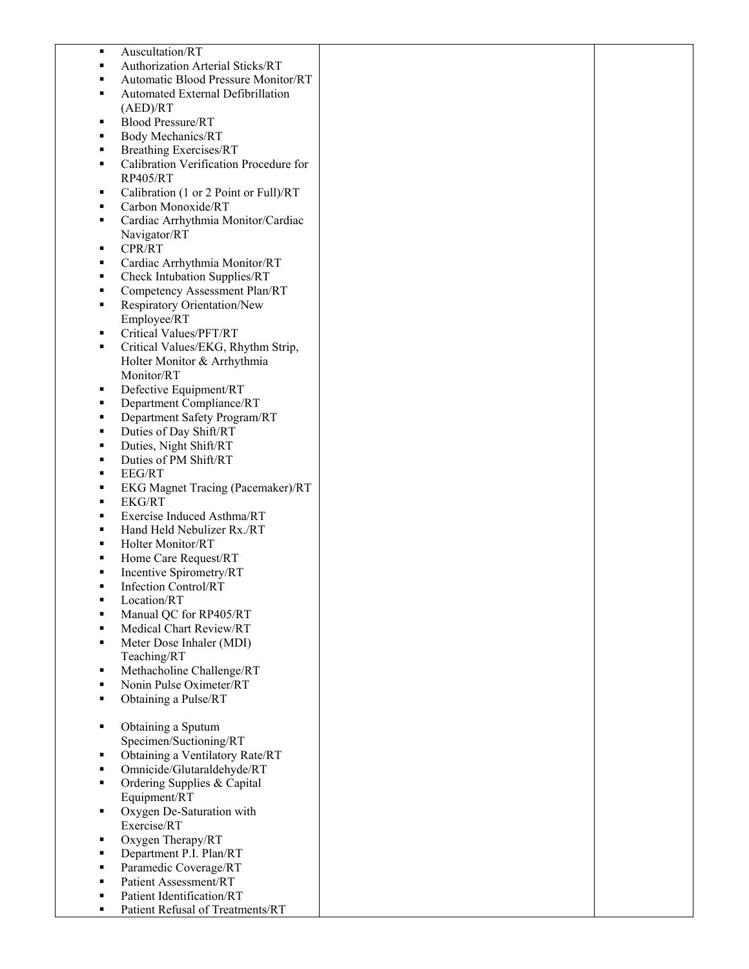| ٠ | Auscultation/RT                        |  |
|---|----------------------------------------|--|
| ٠ | Authorization Arterial Sticks/RT       |  |
|   |                                        |  |
| ■ | Automatic Blood Pressure Monitor/RT    |  |
| ٠ | Automated External Defibrillation      |  |
|   | (AED)/RT                               |  |
|   |                                        |  |
| ٠ | <b>Blood Pressure/RT</b>               |  |
| ٠ | <b>Body Mechanics/RT</b>               |  |
| ٠ | <b>Breathing Exercises/RT</b>          |  |
|   |                                        |  |
| ٠ | Calibration Verification Procedure for |  |
|   | <b>RP405/RT</b>                        |  |
| ٠ | Calibration (1 or 2 Point or Full)/RT  |  |
|   | Carbon Monoxide/RT                     |  |
| ٠ |                                        |  |
| ٠ | Cardiac Arrhythmia Monitor/Cardiac     |  |
|   | Navigator/RT                           |  |
| ٠ | CPR/RT                                 |  |
|   |                                        |  |
| ٠ | Cardiac Arrhythmia Monitor/RT          |  |
| ٠ | Check Intubation Supplies/RT           |  |
| ٠ | Competency Assessment Plan/RT          |  |
|   |                                        |  |
| ٠ | Respiratory Orientation/New            |  |
|   | Employee/RT                            |  |
| ٠ | Critical Values/PFT/RT                 |  |
|   |                                        |  |
| ٠ | Critical Values/EKG, Rhythm Strip,     |  |
|   | Holter Monitor & Arrhythmia            |  |
|   | Monitor/RT                             |  |
|   |                                        |  |
| ٠ | Defective Equipment/RT                 |  |
| ٠ | Department Compliance/RT               |  |
|   | Department Safety Program/RT           |  |
| п | Duties of Day Shift/RT                 |  |
|   |                                        |  |
| ٠ | Duties, Night Shift/RT                 |  |
| п | Duties of PM Shift/RT                  |  |
| ٠ | EEG/RT                                 |  |
|   |                                        |  |
| ٠ | EKG Magnet Tracing (Pacemaker)/RT      |  |
| ٠ | <b>EKG/RT</b>                          |  |
| ٠ | Exercise Induced Asthma/RT             |  |
|   |                                        |  |
| ٠ | Hand Held Nebulizer Rx./RT             |  |
| ٠ | Holter Monitor/RT                      |  |
| ٠ | Home Care Request/RT                   |  |
|   |                                        |  |
| ٠ | Incentive Spirometry/RT                |  |
| ٠ | <b>Infection Control/RT</b>            |  |
| п | Location/RT                            |  |
|   | Manual QC for RP405/RT                 |  |
|   |                                        |  |
|   | Medical Chart Review/RT                |  |
| п | Meter Dose Inhaler (MDI)               |  |
|   | Teaching/RT                            |  |
|   |                                        |  |
| ٠ | Methacholine Challenge/RT              |  |
| ٠ | Nonin Pulse Oximeter/RT                |  |
| ٠ | Obtaining a Pulse/RT                   |  |
|   |                                        |  |
|   |                                        |  |
| ٠ | Obtaining a Sputum                     |  |
|   | Specimen/Suctioning/RT                 |  |
| ٠ | Obtaining a Ventilatory Rate/RT        |  |
|   |                                        |  |
| ٠ | Omnicide/Glutaraldehyde/RT             |  |
| ٠ | Ordering Supplies & Capital            |  |
|   | Equipment/RT                           |  |
|   |                                        |  |
| ٠ | Oxygen De-Saturation with              |  |
|   | Exercise/RT                            |  |
| ٠ | Oxygen Therapy/RT                      |  |
|   |                                        |  |
| ٠ | Department P.I. Plan/RT                |  |
| ٠ | Paramedic Coverage/RT                  |  |
| п | Patient Assessment/RT                  |  |
|   |                                        |  |
|   | Patient Identification/RT              |  |
| ٠ | Patient Refusal of Treatments/RT       |  |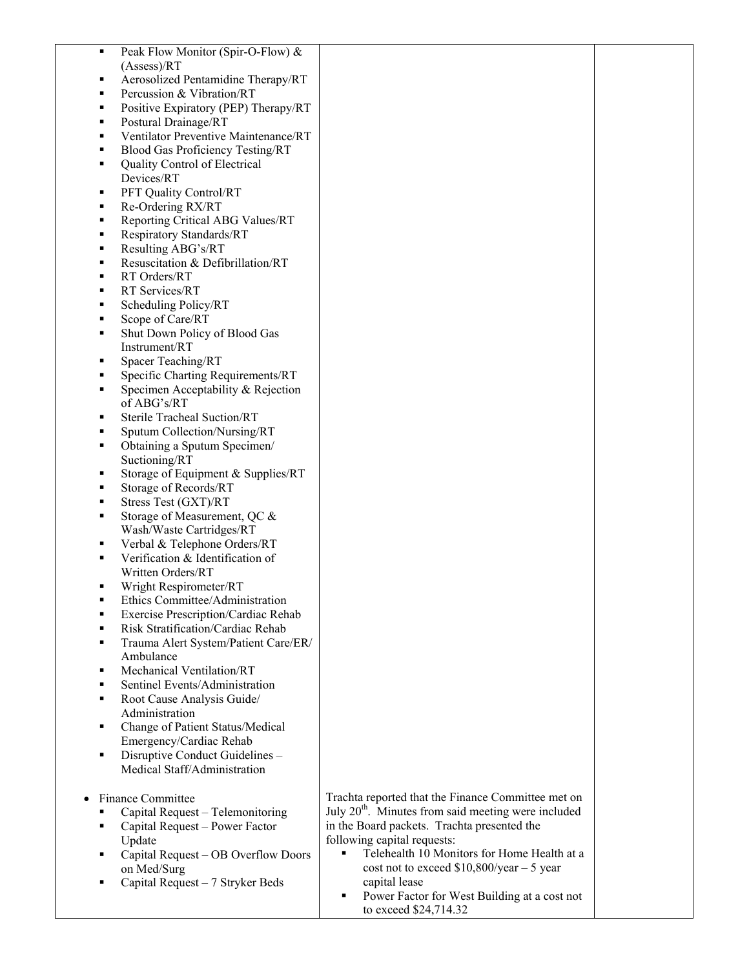| ٠ | Peak Flow Monitor (Spir-O-Flow) &    |                                                                 |  |
|---|--------------------------------------|-----------------------------------------------------------------|--|
|   | (Assess)/RT                          |                                                                 |  |
| ٠ | Aerosolized Pentamidine Therapy/RT   |                                                                 |  |
| п | Percussion & Vibration/RT            |                                                                 |  |
|   | Positive Expiratory (PEP) Therapy/RT |                                                                 |  |
| ٠ | Postural Drainage/RT                 |                                                                 |  |
| ٠ | Ventilator Preventive Maintenance/RT |                                                                 |  |
| ٠ | Blood Gas Proficiency Testing/RT     |                                                                 |  |
| ٠ | Quality Control of Electrical        |                                                                 |  |
|   | Devices/RT                           |                                                                 |  |
| ٠ | PFT Quality Control/RT               |                                                                 |  |
| ٠ | Re-Ordering RX/RT                    |                                                                 |  |
| ٠ | Reporting Critical ABG Values/RT     |                                                                 |  |
|   | Respiratory Standards/RT             |                                                                 |  |
| ٠ | Resulting ABG's/RT                   |                                                                 |  |
| ٠ | Resuscitation & Defibrillation/RT    |                                                                 |  |
| ٠ | RT Orders/RT                         |                                                                 |  |
| ٠ | RT Services/RT                       |                                                                 |  |
|   |                                      |                                                                 |  |
| ٠ | Scheduling Policy/RT                 |                                                                 |  |
| ٠ | Scope of Care/RT                     |                                                                 |  |
| ٠ | Shut Down Policy of Blood Gas        |                                                                 |  |
|   | Instrument/RT                        |                                                                 |  |
| ٠ | Spacer Teaching/RT                   |                                                                 |  |
| ٠ | Specific Charting Requirements/RT    |                                                                 |  |
| ٠ | Specimen Acceptability & Rejection   |                                                                 |  |
|   | of ABG's/RT                          |                                                                 |  |
| ٠ | Sterile Tracheal Suction/RT          |                                                                 |  |
| п | Sputum Collection/Nursing/RT         |                                                                 |  |
| ٠ | Obtaining a Sputum Specimen/         |                                                                 |  |
|   | Suctioning/RT                        |                                                                 |  |
| ٠ | Storage of Equipment & Supplies/RT   |                                                                 |  |
| ٠ | Storage of Records/RT                |                                                                 |  |
| ٠ | Stress Test (GXT)/RT                 |                                                                 |  |
| ٠ | Storage of Measurement, QC &         |                                                                 |  |
|   | Wash/Waste Cartridges/RT             |                                                                 |  |
| ٠ | Verbal & Telephone Orders/RT         |                                                                 |  |
| ٠ | Verification & Identification of     |                                                                 |  |
|   | Written Orders/RT                    |                                                                 |  |
|   | Wright Respirometer/RT               |                                                                 |  |
| ٠ | Ethics Committee/Administration      |                                                                 |  |
|   | Exercise Prescription/Cardiac Rehab  |                                                                 |  |
|   | Risk Stratification/Cardiac Rehab    |                                                                 |  |
| ٠ | Trauma Alert System/Patient Care/ER/ |                                                                 |  |
|   | Ambulance                            |                                                                 |  |
| ٠ | Mechanical Ventilation/RT            |                                                                 |  |
| п | Sentinel Events/Administration       |                                                                 |  |
| ٠ | Root Cause Analysis Guide/           |                                                                 |  |
|   | Administration                       |                                                                 |  |
| ٠ | Change of Patient Status/Medical     |                                                                 |  |
|   | Emergency/Cardiac Rehab              |                                                                 |  |
|   | Disruptive Conduct Guidelines -      |                                                                 |  |
|   | Medical Staff/Administration         |                                                                 |  |
|   |                                      |                                                                 |  |
|   | Finance Committee                    | Trachta reported that the Finance Committee met on              |  |
|   | Capital Request - Telemonitoring     | July 20 <sup>th</sup> . Minutes from said meeting were included |  |
|   | Capital Request - Power Factor       | in the Board packets. Trachta presented the                     |  |
|   | Update                               | following capital requests:                                     |  |
|   | Capital Request - OB Overflow Doors  | Telehealth 10 Monitors for Home Health at a<br>$\blacksquare$   |  |
|   | on Med/Surg                          | cost not to exceed $$10,800/year - 5 year$                      |  |
|   | Capital Request - 7 Stryker Beds     | capital lease                                                   |  |
|   |                                      | Power Factor for West Building at a cost not<br>٠               |  |
|   |                                      | to exceed \$24,714.32                                           |  |